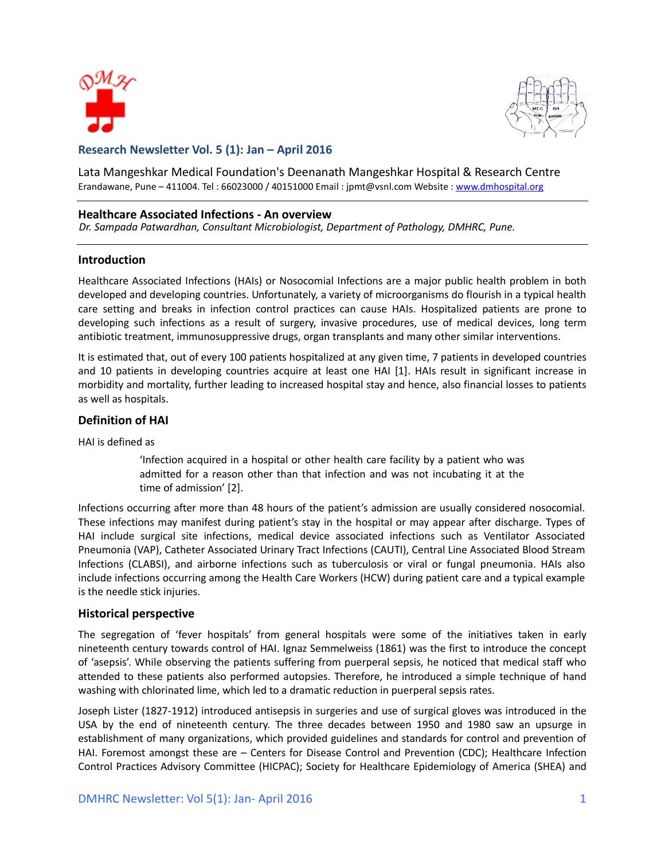



# **Research Newsletter Vol. 5 (1): Jan – April 2016**

Lata Mangeshkar Medical Foundation's Deenanath Mangeshkar Hospital & Research Centre Erandawane, Pune – 411004. Tel : 66023000 / 40151000 Email : jpmt@vsnl.com Website : [www.dmhospital.org](http://www.dmhospital.org/)

### **Healthcare Associated Infections - An overview**

*Dr. Sampada Patwardhan, Consultant Microbiologist, Department of Pathology, DMHRC, Pune.*

### **Introduction**

Healthcare Associated Infections (HAIs) or Nosocomial Infections are a major public health problem in both developed and developing countries. Unfortunately, a variety of microorganisms do flourish in a typical health care setting and breaks in infection control practices can cause HAIs. Hospitalized patients are prone to developing such infections as a result of surgery, invasive procedures, use of medical devices, long term antibiotic treatment, immunosuppressive drugs, organ transplants and many other similar interventions.

It is estimated that, out of every 100 patients hospitalized at any given time, 7 patients in developed countries and 10 patients in developing countries acquire at least one HAI [1]. HAIs result in significant increase in morbidity and mortality, further leading to increased hospital stay and hence, also financial losses to patients as well as hospitals.

## **Definition of HAI**

HAI is defined as

'Infection acquired in a hospital or other health care facility by a patient who was admitted for a reason other than that infection and was not incubating it at the time of admission' [2].

Infections occurring after more than 48 hours of the patient's admission are usually considered nosocomial. These infections may manifest during patient's stay in the hospital or may appear after discharge. Types of HAI include surgical site infections, medical device associated infections such as Ventilator Associated Pneumonia (VAP), Catheter Associated Urinary Tract Infections (CAUTI), Central Line Associated Blood Stream Infections (CLABSI), and airborne infections such as tuberculosis or viral or fungal pneumonia. HAIs also include infections occurring among the Health Care Workers (HCW) during patient care and a typical example is the needle stick injuries.

### **Historical perspective**

The segregation of 'fever hospitals' from general hospitals were some of the initiatives taken in early nineteenth century towards control of HAI. Ignaz Semmelweiss (1861) was the first to introduce the concept of 'asepsis'. While observing the patients suffering from puerperal sepsis, he noticed that medical staff who attended to these patients also performed autopsies. Therefore, he introduced a simple technique of hand washing with chlorinated lime, which led to a dramatic reduction in puerperal sepsis rates.

Joseph Lister (1827-1912) introduced antisepsis in surgeries and use of surgical gloves was introduced in the USA by the end of nineteenth century. The three decades between 1950 and 1980 saw an upsurge in establishment of many organizations, which provided guidelines and standards for control and prevention of HAI. Foremost amongst these are - Centers for Disease Control and Prevention (CDC); Healthcare Infection Control Practices Advisory Committee (HICPAC); Society for Healthcare Epidemiology of America (SHEA) and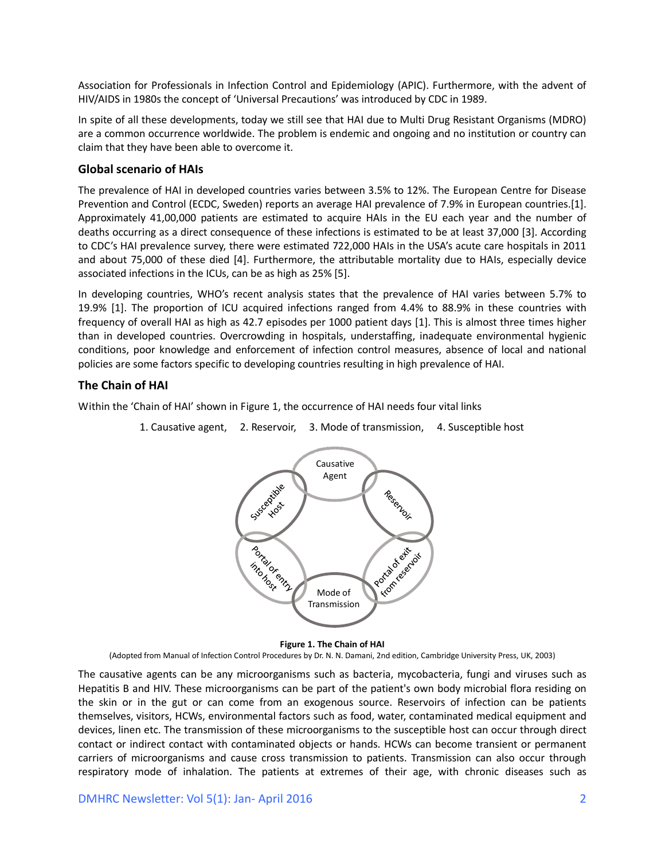Association for Professionals in Infection Control and Epidemiology (APIC). Furthermore, with the advent of HIV/AIDS in 1980s the concept of 'Universal Precautions' was introduced by CDC in 1989.

In spite of all these developments, today we still see that HAI due to Multi Drug Resistant Organisms (MDRO) are a common occurrence worldwide. The problem is endemic and ongoing and no institution or country can claim that they have been able to overcome it.

### **Global scenario of HAIs**

The prevalence of HAI in developed countries varies between 3.5% to 12%. The European Centre for Disease Prevention and Control (ECDC, Sweden) reports an average HAI prevalence of 7.9% in European countries.[1]. Approximately 41,00,000 patients are estimated to acquire HAIs in the EU each year and the number of deaths occurring as a direct consequence of these infections is estimated to be at least 37,000 [3]. According to CDC's HAI prevalence survey, there were estimated 722,000 HAIs in the USA's acute care hospitals in 2011 and about 75,000 of these died [4]. Furthermore, the attributable mortality due to HAIs, especially device associated infections in the ICUs, can be as high as 25% [5].

In developing countries, WHO's recent analysis states that the prevalence of HAI varies between 5.7% to 19.9% [1]. The proportion of ICU acquired infections ranged from 4.4% to 88.9% in these countries with frequency of overall HAI as high as 42.7 episodes per 1000 patient days [1]. This is almost three times higher than in developed countries. Overcrowding in hospitals, understaffing, inadequate environmental hygienic conditions, poor knowledge and enforcement of infection control measures, absence of local and national policies are some factors specific to developing countries resulting in high prevalence of HAI.

# **The Chain of HAI**

Within the 'Chain of HAI' shown in Figure 1, the occurrence of HAI needs four vital links

1. Causative agent, 2. Reservoir, 3. Mode of transmission, 4. Susceptible host



#### **Figure 1. The Chain of HAI**

(Adopted from Manual of Infection Control Procedures by Dr. N. N. Damani, 2nd edition, Cambridge University Press, UK, 2003)

The causative agents can be any microorganisms such as bacteria, mycobacteria, fungi and viruses such as Hepatitis B and HIV. These microorganisms can be part of the patient's own body microbial flora residing on the skin or in the gut or can come from an exogenous source. Reservoirs of infection can be patients themselves, visitors, HCWs, environmental factors such as food, water, contaminated medical equipment and devices, linen etc. The transmission of these microorganisms to the susceptible host can occur through direct contact or indirect contact with contaminated objects or hands. HCWs can become transient or permanent carriers of microorganisms and cause cross transmission to patients. Transmission can also occur through respiratory mode of inhalation. The patients at extremes of their age, with chronic diseases such as